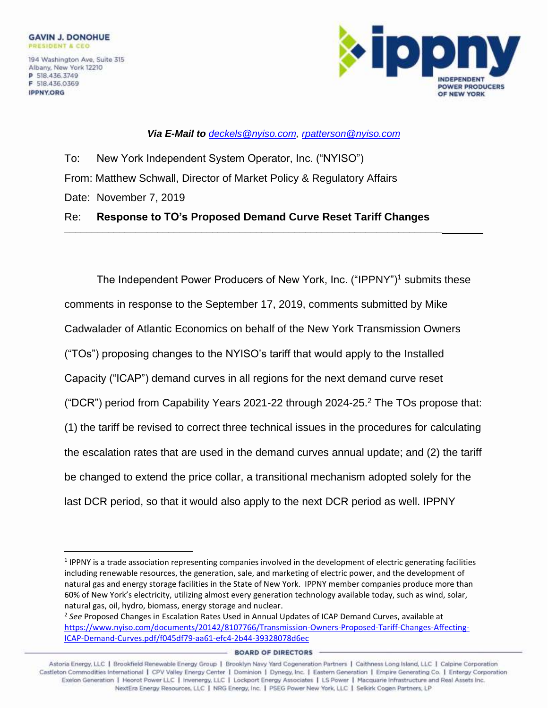**IPPNY.ORG** 



*Via E-Mail to [deckels@nyiso.com,](mailto:deckels@nyiso.com) [rpatterson@nyiso.com](mailto:rpatterson@nyiso.com)*

To: New York Independent System Operator, Inc. ("NYISO") From: Matthew Schwall, Director of Market Policy & Regulatory Affairs Date: November 7, 2019 Re: **Response to TO's Proposed Demand Curve Reset Tariff Changes**

**\_\_\_\_\_\_\_\_\_\_\_\_\_\_\_\_\_\_\_\_\_\_\_\_\_\_\_\_\_\_\_\_\_\_\_\_\_\_\_\_\_\_\_\_\_\_\_\_\_\_\_\_\_\_\_\_\_\_\_\_\_\_\_\_\_\_\_\_\_**

The Independent Power Producers of New York, Inc. ("IPPNY")<sup>1</sup> submits these comments in response to the September 17, 2019, comments submitted by Mike Cadwalader of Atlantic Economics on behalf of the New York Transmission Owners ("TOs") proposing changes to the NYISO's tariff that would apply to the Installed Capacity ("ICAP") demand curves in all regions for the next demand curve reset ("DCR") period from Capability Years 2021-22 through 2024-25. <sup>2</sup> The TOs propose that: (1) the tariff be revised to correct three technical issues in the procedures for calculating the escalation rates that are used in the demand curves annual update; and (2) the tariff be changed to extend the price collar, a transitional mechanism adopted solely for the last DCR period, so that it would also apply to the next DCR period as well. IPPNY

<sup>&</sup>lt;sup>1</sup> IPPNY is a trade association representing companies involved in the development of electric generating facilities including renewable resources, the generation, sale, and marketing of electric power, and the development of natural gas and energy storage facilities in the State of New York. IPPNY member companies produce more than 60% of New York's electricity, utilizing almost every generation technology available today, such as wind, solar, natural gas, oil, hydro, biomass, energy storage and nuclear.

<sup>2</sup> *See* Proposed Changes in Escalation Rates Used in Annual Updates of ICAP Demand Curves, available at [https://www.nyiso.com/documents/20142/8107766/Transmission-Owners-Proposed-Tariff-Changes-Affecting-](https://www.nyiso.com/documents/20142/8107766/Transmission-Owners-Proposed-Tariff-Changes-Affecting-ICAP-Demand-Curves.pdf/f045df79-aa61-efc4-2b44-39328078d6ec)[ICAP-Demand-Curves.pdf/f045df79-aa61-efc4-2b44-39328078d6ec](https://www.nyiso.com/documents/20142/8107766/Transmission-Owners-Proposed-Tariff-Changes-Affecting-ICAP-Demand-Curves.pdf/f045df79-aa61-efc4-2b44-39328078d6ec)

**BOARD OF DIRECTORS**<br>1991 Astoria Energy, LLC | Brookfield Renewable Energy Group | Brooklyn Navy Yard Cogeneration Partners | Caithness Long Island, LLC | Calpine Corporation Castleton Commodities International | CPV Valley Energy Center | Dominion | Dynegy, Inc. | Eastern Generation | Empire Generating Co. | Entergy Corporation Exelon Generation | Heorot Power LLC | Invenergy, LLC | Lockport Energy Associates | LS Power | Macquarie Infrastructure and Real Assets Inc. NextEra Energy Resources, LLC | NRG Energy, Inc. | PSEG Power New York, LLC | Selkirk Cogen Partners, LP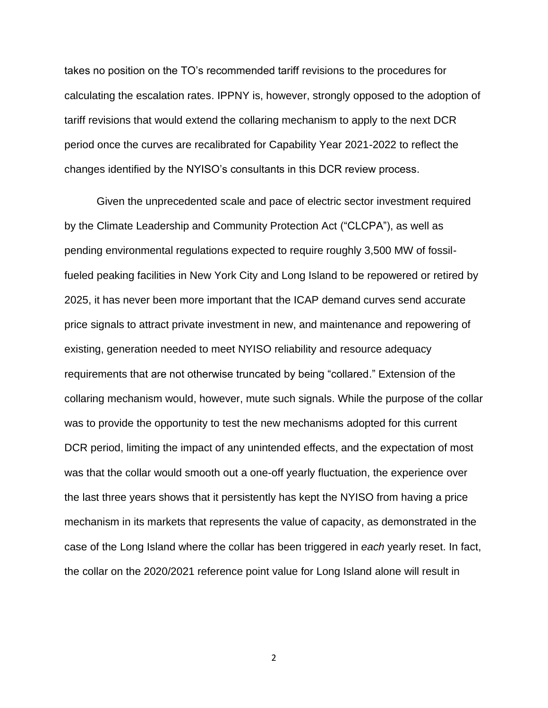takes no position on the TO's recommended tariff revisions to the procedures for calculating the escalation rates. IPPNY is, however, strongly opposed to the adoption of tariff revisions that would extend the collaring mechanism to apply to the next DCR period once the curves are recalibrated for Capability Year 2021-2022 to reflect the changes identified by the NYISO's consultants in this DCR review process.

Given the unprecedented scale and pace of electric sector investment required by the Climate Leadership and Community Protection Act ("CLCPA"), as well as pending environmental regulations expected to require roughly 3,500 MW of fossilfueled peaking facilities in New York City and Long Island to be repowered or retired by 2025, it has never been more important that the ICAP demand curves send accurate price signals to attract private investment in new, and maintenance and repowering of existing, generation needed to meet NYISO reliability and resource adequacy requirements that are not otherwise truncated by being "collared." Extension of the collaring mechanism would, however, mute such signals. While the purpose of the collar was to provide the opportunity to test the new mechanisms adopted for this current DCR period, limiting the impact of any unintended effects, and the expectation of most was that the collar would smooth out a one-off yearly fluctuation, the experience over the last three years shows that it persistently has kept the NYISO from having a price mechanism in its markets that represents the value of capacity, as demonstrated in the case of the Long Island where the collar has been triggered in *each* yearly reset. In fact, the collar on the 2020/2021 reference point value for Long Island alone will result in

2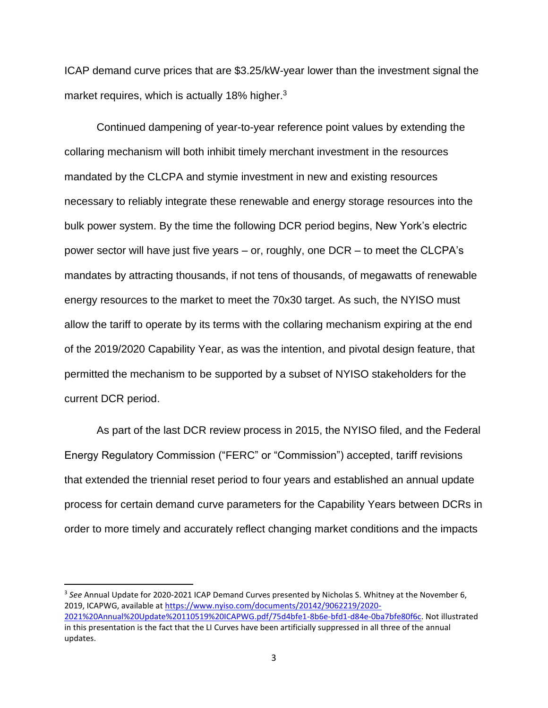ICAP demand curve prices that are \$3.25/kW-year lower than the investment signal the market requires, which is actually 18% higher.<sup>3</sup>

Continued dampening of year-to-year reference point values by extending the collaring mechanism will both inhibit timely merchant investment in the resources mandated by the CLCPA and stymie investment in new and existing resources necessary to reliably integrate these renewable and energy storage resources into the bulk power system. By the time the following DCR period begins, New York's electric power sector will have just five years – or, roughly, one DCR – to meet the CLCPA's mandates by attracting thousands, if not tens of thousands, of megawatts of renewable energy resources to the market to meet the 70x30 target. As such, the NYISO must allow the tariff to operate by its terms with the collaring mechanism expiring at the end of the 2019/2020 Capability Year, as was the intention, and pivotal design feature, that permitted the mechanism to be supported by a subset of NYISO stakeholders for the current DCR period.

As part of the last DCR review process in 2015, the NYISO filed, and the Federal Energy Regulatory Commission ("FERC" or "Commission") accepted, tariff revisions that extended the triennial reset period to four years and established an annual update process for certain demand curve parameters for the Capability Years between DCRs in order to more timely and accurately reflect changing market conditions and the impacts

<sup>3</sup> See Annual Update for 2020-2021 ICAP Demand Curves presented by Nicholas S. Whitney at the November 6, 2019, ICAPWG, available a[t https://www.nyiso.com/documents/20142/9062219/2020-](https://www.nyiso.com/documents/20142/9062219/2020-2021%20Annual%20Update%20110519%20ICAPWG.pdf/75d4bfe1-8b6e-bfd1-d84e-0ba7bfe80f6c) [2021%20Annual%20Update%20110519%20ICAPWG.pdf/75d4bfe1-8b6e-bfd1-d84e-0ba7bfe80f6c.](https://www.nyiso.com/documents/20142/9062219/2020-2021%20Annual%20Update%20110519%20ICAPWG.pdf/75d4bfe1-8b6e-bfd1-d84e-0ba7bfe80f6c) Not illustrated in this presentation is the fact that the LI Curves have been artificially suppressed in all three of the annual updates.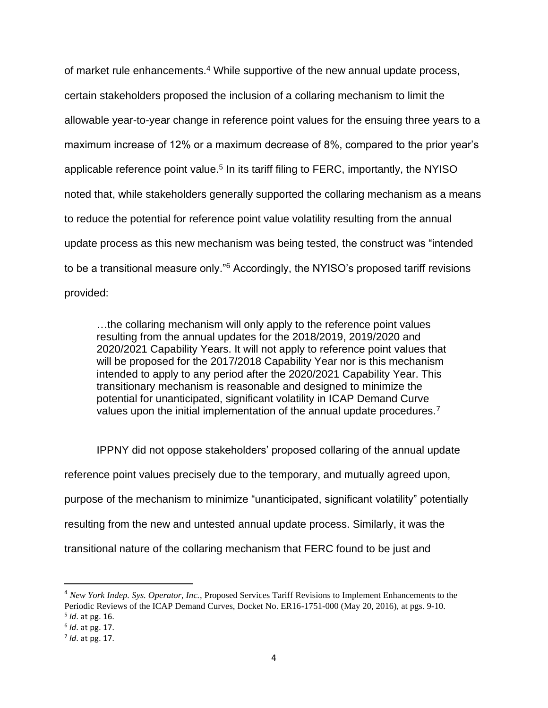of market rule enhancements.<sup>4</sup> While supportive of the new annual update process, certain stakeholders proposed the inclusion of a collaring mechanism to limit the allowable year-to-year change in reference point values for the ensuing three years to a maximum increase of 12% or a maximum decrease of 8%, compared to the prior year's applicable reference point value.<sup>5</sup> In its tariff filing to FERC, importantly, the NYISO noted that, while stakeholders generally supported the collaring mechanism as a means to reduce the potential for reference point value volatility resulting from the annual update process as this new mechanism was being tested, the construct was "intended to be a transitional measure only."<sup>6</sup> Accordingly, the NYISO's proposed tariff revisions provided:

…the collaring mechanism will only apply to the reference point values resulting from the annual updates for the 2018/2019, 2019/2020 and 2020/2021 Capability Years. It will not apply to reference point values that will be proposed for the 2017/2018 Capability Year nor is this mechanism intended to apply to any period after the 2020/2021 Capability Year. This transitionary mechanism is reasonable and designed to minimize the potential for unanticipated, significant volatility in ICAP Demand Curve values upon the initial implementation of the annual update procedures.<sup>7</sup>

IPPNY did not oppose stakeholders' proposed collaring of the annual update reference point values precisely due to the temporary, and mutually agreed upon, purpose of the mechanism to minimize "unanticipated, significant volatility" potentially resulting from the new and untested annual update process. Similarly, it was the transitional nature of the collaring mechanism that FERC found to be just and

<sup>4</sup> *New York Indep. Sys. Operator, Inc.*, Proposed Services Tariff Revisions to Implement Enhancements to the Periodic Reviews of the ICAP Demand Curves, Docket No. ER16-1751-000 (May 20, 2016), at pgs. 9-10. 5 *Id*. at pg. 16.

<sup>6</sup> *Id*. at pg. 17.

<sup>7</sup> *Id*. at pg. 17.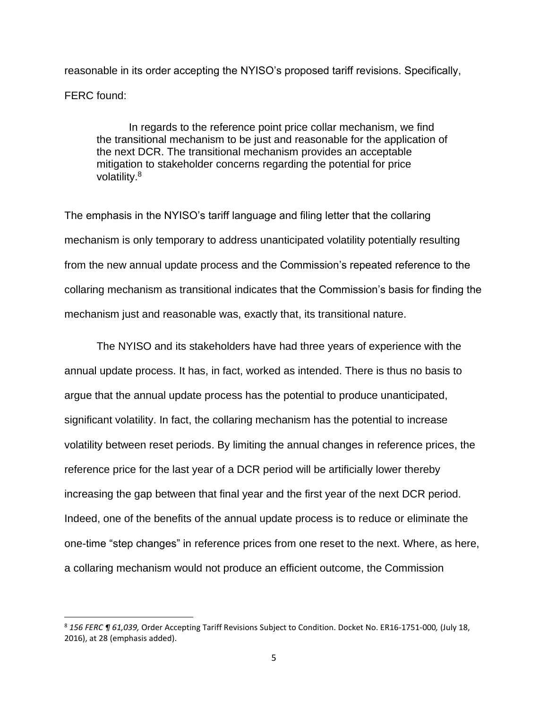reasonable in its order accepting the NYISO's proposed tariff revisions. Specifically, FERC found:

In regards to the reference point price collar mechanism, we find the transitional mechanism to be just and reasonable for the application of the next DCR. The transitional mechanism provides an acceptable mitigation to stakeholder concerns regarding the potential for price volatility.<sup>8</sup>

The emphasis in the NYISO's tariff language and filing letter that the collaring mechanism is only temporary to address unanticipated volatility potentially resulting from the new annual update process and the Commission's repeated reference to the collaring mechanism as transitional indicates that the Commission's basis for finding the mechanism just and reasonable was, exactly that, its transitional nature.

The NYISO and its stakeholders have had three years of experience with the annual update process. It has, in fact, worked as intended. There is thus no basis to argue that the annual update process has the potential to produce unanticipated, significant volatility. In fact, the collaring mechanism has the potential to increase volatility between reset periods. By limiting the annual changes in reference prices, the reference price for the last year of a DCR period will be artificially lower thereby increasing the gap between that final year and the first year of the next DCR period. Indeed, one of the benefits of the annual update process is to reduce or eliminate the one-time "step changes" in reference prices from one reset to the next. Where, as here, a collaring mechanism would not produce an efficient outcome, the Commission

<sup>8</sup> *156 FERC ¶ 61,039,* Order Accepting Tariff Revisions Subject to Condition. Docket No. ER16-1751-000*,* (July 18, 2016), at 28 (emphasis added).